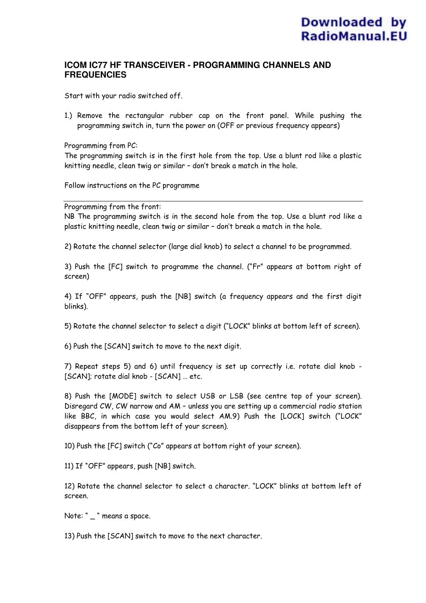## **ICOM IC77 HF TRANSCEIVER - PROGRAMMING CHANNELS AND FREQUENCIES**

Start with your radio switched off.

1.) Remove the rectangular rubber cap on the front panel. While pushing the programming switch in, turn the power on (OFF or previous frequency appears)

Programming from PC:

The programming switch is in the first hole from the top. Use a blunt rod like a plastic knitting needle, clean twig or similar – don't break a match in the hole.

Follow instructions on the PC programme

Programming from the front:

NB The programming switch is in the second hole from the top. Use a blunt rod like a plastic knitting needle, clean twig or similar – don't break a match in the hole.

2) Rotate the channel selector (large dial knob) to select a channel to be programmed.

3) Push the [FC] switch to programme the channel. ("Fr" appears at bottom right of screen)

4) If "OFF" appears, push the [NB] switch (a frequency appears and the first digit blinks).

5) Rotate the channel selector to select a digit ("LOCK" blinks at bottom left of screen).

6) Push the [SCAN] switch to move to the next digit.

7) Repeat steps 5) and 6) until frequency is set up correctly i.e. rotate dial knob - [SCAN]; rotate dial knob - [SCAN] … etc.

8) Push the [MODE] switch to select USB or LSB (see centre top of your screen). Disregard CW, CW narrow and AM – unless you are setting up a commercial radio station like BBC, in which case you would select AM.9) Push the [LOCK] switch ("LOCK" disappears from the bottom left of your screen).

10) Push the [FC] switch ("Co" appears at bottom right of your screen).

11) If "OFF" appears, push [NB] switch.

12) Rotate the channel selector to select a character. "LOCK" blinks at bottom left of screen.

Note: " \_ " means a space.

13) Push the [SCAN] switch to move to the next character.